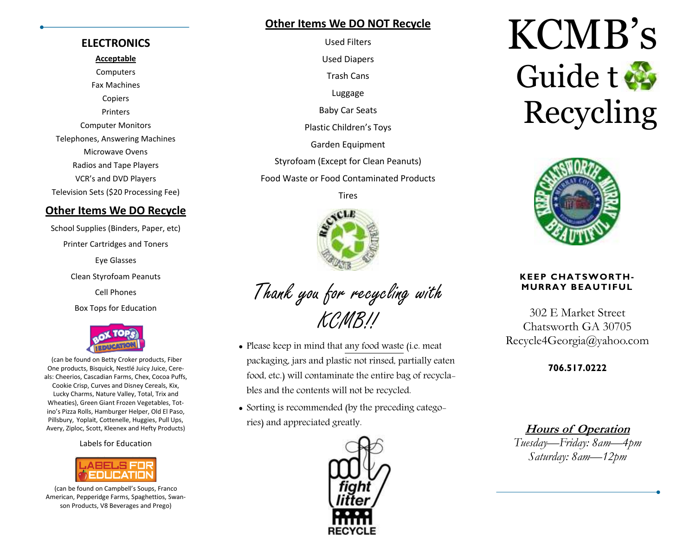#### **Other Items We DO NOT Recycle**Used Filters

#### **ELECTRONICS**

**Acceptable**

**Computers** Fax Machines Copiers Printers Computer Monitors Telephones, Answering Machines Microwave Ovens Radios and Tape Players VCR's and DVD Players Television Sets (\$20 Processing Fee)

#### **Other Items We DO Recycle**

School Supplies (Binders, Paper, etc) Printer Cartridges and Toners Eye Glasses Clean Styrofoam Peanuts Cell Phones Box Tops for Education



(can be found on Betty Croker products, Fiber One products, Bisquick, Nestlé Juicy Juice, Cereals: Cheerios, Cascadian Farms, Chex, Cocoa Puffs, Cookie Crisp, Curves and Disney Cereals, Kix, Lucky Charms, Nature Valley, Total, Trix and Wheaties), Green Giant Frozen Vegetables, Totino's Pizza Rolls, Hamburger Helper, Old El Paso, Pillsbury, Yoplait, Cottenelle, Huggies, Pull Ups, Avery, Ziploc, Scott, Kleenex and Hefty Products)

Labels for Education



(can be found on Campbell's Soups, Franco American, Pepperidge Farms, Spaghettios, Swanson Products, V8 Beverages and Prego)

Used Diapers Trash Cans Luggage Baby Car Seats Plastic Children's Toys Garden Equipment Styrofoam (Except for Clean Peanuts) Food Waste or Food Contaminated Products Tires



Thank you for recycling with KCMB!!

- Please keep in mind that any food waste (i.e. meat packaging, jars and plastic not rinsed, partially eaten food, etc.) will contaminate the entire bag of recyclables and the contents will not be recycled.
- Sorting is recommended (by the preceding categories) and appreciated greatly.



# KCMB's Guide t Recycling



#### **KEEP CHATSWORTH-MURRAY BEAUTIFUL**

302 E Market Street Chatsworth GA 30705 Recycle4Georgia@yahoo.com

**706.517.0222** 

**Hours of Operation** *Tuesday—Friday: 8am—4pm Saturday: 8am—12pm*